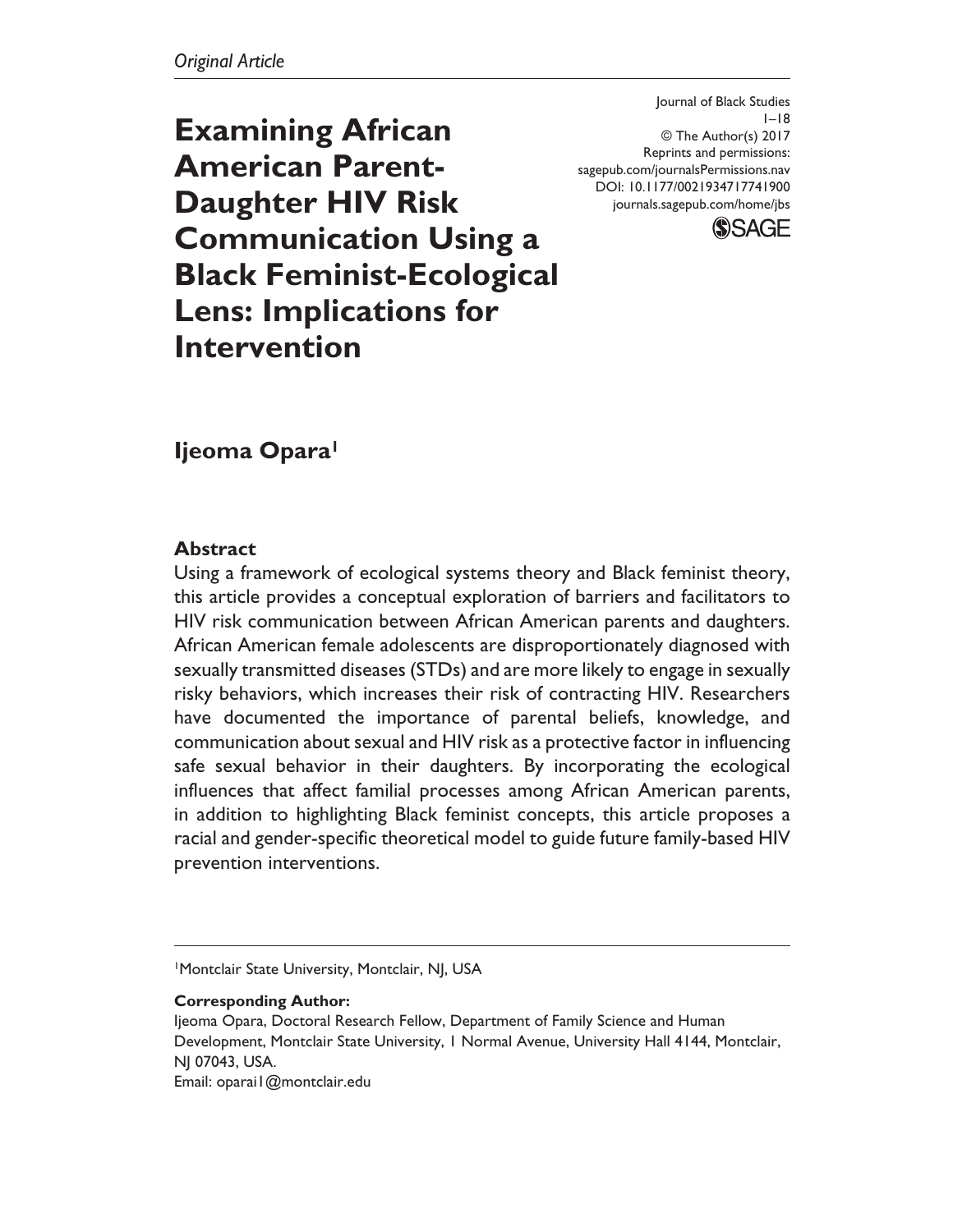DOI: 10.1177/0021934717741900 Journal of Black Studies  $1-18$ © The Author(s) 2017 Reprints and permissions: sagepub.com/journalsPermissions.nav journals.sagepub.com/home/jbs



**Examining African American Parent-Daughter HIV Risk Communication Using a Black Feminist-Ecological Lens: Implications for Intervention**

# **Ijeoma Opara1**

### **Abstract**

Using a framework of ecological systems theory and Black feminist theory, this article provides a conceptual exploration of barriers and facilitators to HIV risk communication between African American parents and daughters. African American female adolescents are disproportionately diagnosed with sexually transmitted diseases (STDs) and are more likely to engage in sexually risky behaviors, which increases their risk of contracting HIV. Researchers have documented the importance of parental beliefs, knowledge, and communication about sexual and HIV risk as a protective factor in influencing safe sexual behavior in their daughters. By incorporating the ecological influences that affect familial processes among African American parents, in addition to highlighting Black feminist concepts, this article proposes a racial and gender-specific theoretical model to guide future family-based HIV prevention interventions.

1Montclair State University, Montclair, NJ, USA

**Corresponding Author:**

Ijeoma Opara, Doctoral Research Fellow, Department of Family Science and Human Development, Montclair State University, 1 Normal Avenue, University Hall 4144, Montclair, NJ 07043, USA. Email: oparai1@montclair.edu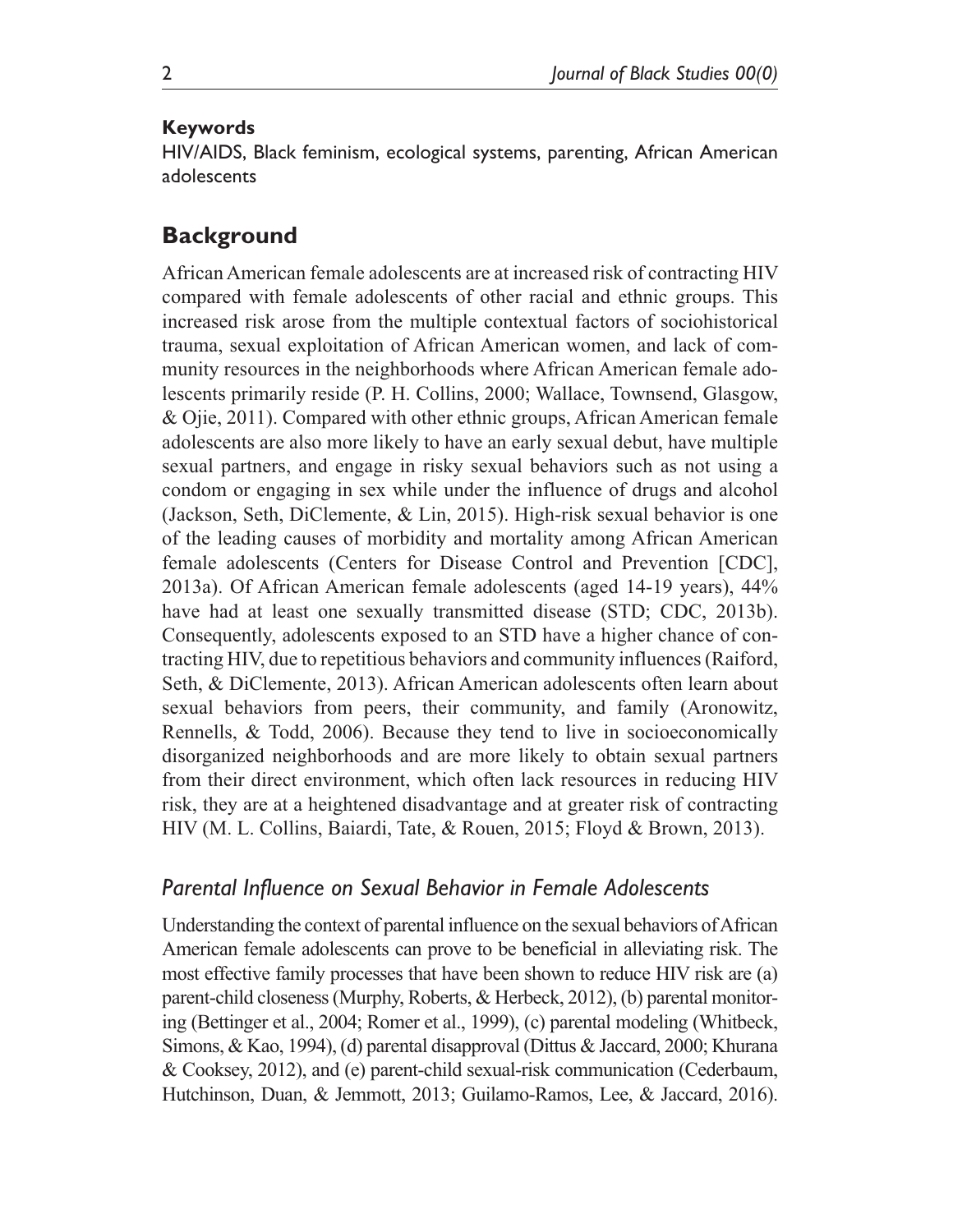### **Keywords**

HIV/AIDS, Black feminism, ecological systems, parenting, African American adolescents

## **Background**

African American female adolescents are at increased risk of contracting HIV compared with female adolescents of other racial and ethnic groups. This increased risk arose from the multiple contextual factors of sociohistorical trauma, sexual exploitation of African American women, and lack of community resources in the neighborhoods where African American female adolescents primarily reside (P. H. Collins, 2000; Wallace, Townsend, Glasgow, & Ojie, 2011). Compared with other ethnic groups, African American female adolescents are also more likely to have an early sexual debut, have multiple sexual partners, and engage in risky sexual behaviors such as not using a condom or engaging in sex while under the influence of drugs and alcohol (Jackson, Seth, DiClemente, & Lin, 2015). High-risk sexual behavior is one of the leading causes of morbidity and mortality among African American female adolescents (Centers for Disease Control and Prevention [CDC], 2013a). Of African American female adolescents (aged 14-19 years), 44% have had at least one sexually transmitted disease (STD; CDC, 2013b). Consequently, adolescents exposed to an STD have a higher chance of contracting HIV, due to repetitious behaviors and community influences (Raiford, Seth, & DiClemente, 2013). African American adolescents often learn about sexual behaviors from peers, their community, and family (Aronowitz, Rennells, & Todd, 2006). Because they tend to live in socioeconomically disorganized neighborhoods and are more likely to obtain sexual partners from their direct environment, which often lack resources in reducing HIV risk, they are at a heightened disadvantage and at greater risk of contracting HIV (M. L. Collins, Baiardi, Tate, & Rouen, 2015; Floyd & Brown, 2013).

### *Parental Influence on Sexual Behavior in Female Adolescents*

Understanding the context of parental influence on the sexual behaviors of African American female adolescents can prove to be beneficial in alleviating risk. The most effective family processes that have been shown to reduce HIV risk are (a) parent-child closeness (Murphy, Roberts, & Herbeck, 2012), (b) parental monitoring (Bettinger et al., 2004; Romer et al., 1999), (c) parental modeling (Whitbeck, Simons, & Kao, 1994), (d) parental disapproval (Dittus & Jaccard, 2000; Khurana & Cooksey, 2012), and (e) parent-child sexual-risk communication (Cederbaum, Hutchinson, Duan, & Jemmott, 2013; Guilamo-Ramos, Lee, & Jaccard, 2016).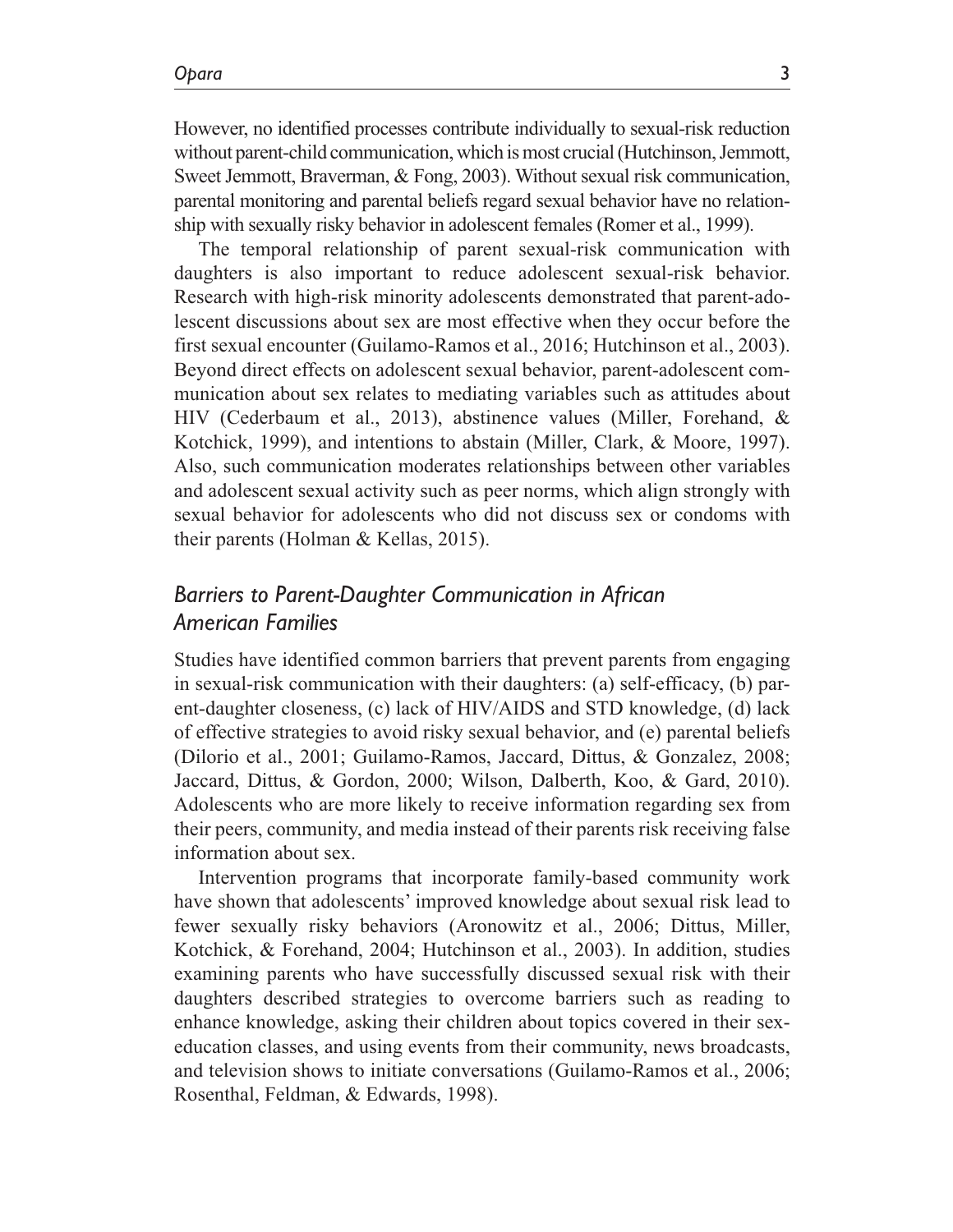However, no identified processes contribute individually to sexual-risk reduction without parent-child communication, which is most crucial (Hutchinson, Jemmott, Sweet Jemmott, Braverman, & Fong, 2003). Without sexual risk communication, parental monitoring and parental beliefs regard sexual behavior have no relationship with sexually risky behavior in adolescent females (Romer et al., 1999).

The temporal relationship of parent sexual-risk communication with daughters is also important to reduce adolescent sexual-risk behavior. Research with high-risk minority adolescents demonstrated that parent-adolescent discussions about sex are most effective when they occur before the first sexual encounter (Guilamo-Ramos et al., 2016; Hutchinson et al., 2003). Beyond direct effects on adolescent sexual behavior, parent-adolescent communication about sex relates to mediating variables such as attitudes about HIV (Cederbaum et al., 2013), abstinence values (Miller, Forehand, & Kotchick, 1999), and intentions to abstain (Miller, Clark, & Moore, 1997). Also, such communication moderates relationships between other variables and adolescent sexual activity such as peer norms, which align strongly with sexual behavior for adolescents who did not discuss sex or condoms with their parents (Holman & Kellas, 2015).

# *Barriers to Parent-Daughter Communication in African American Families*

Studies have identified common barriers that prevent parents from engaging in sexual-risk communication with their daughters: (a) self-efficacy, (b) parent-daughter closeness, (c) lack of HIV/AIDS and STD knowledge, (d) lack of effective strategies to avoid risky sexual behavior, and (e) parental beliefs (Dilorio et al., 2001; Guilamo-Ramos, Jaccard, Dittus, & Gonzalez, 2008; Jaccard, Dittus, & Gordon, 2000; Wilson, Dalberth, Koo, & Gard, 2010). Adolescents who are more likely to receive information regarding sex from their peers, community, and media instead of their parents risk receiving false information about sex.

Intervention programs that incorporate family-based community work have shown that adolescents' improved knowledge about sexual risk lead to fewer sexually risky behaviors (Aronowitz et al., 2006; Dittus, Miller, Kotchick, & Forehand, 2004; Hutchinson et al., 2003). In addition, studies examining parents who have successfully discussed sexual risk with their daughters described strategies to overcome barriers such as reading to enhance knowledge, asking their children about topics covered in their sexeducation classes, and using events from their community, news broadcasts, and television shows to initiate conversations (Guilamo-Ramos et al., 2006; Rosenthal, Feldman, & Edwards, 1998).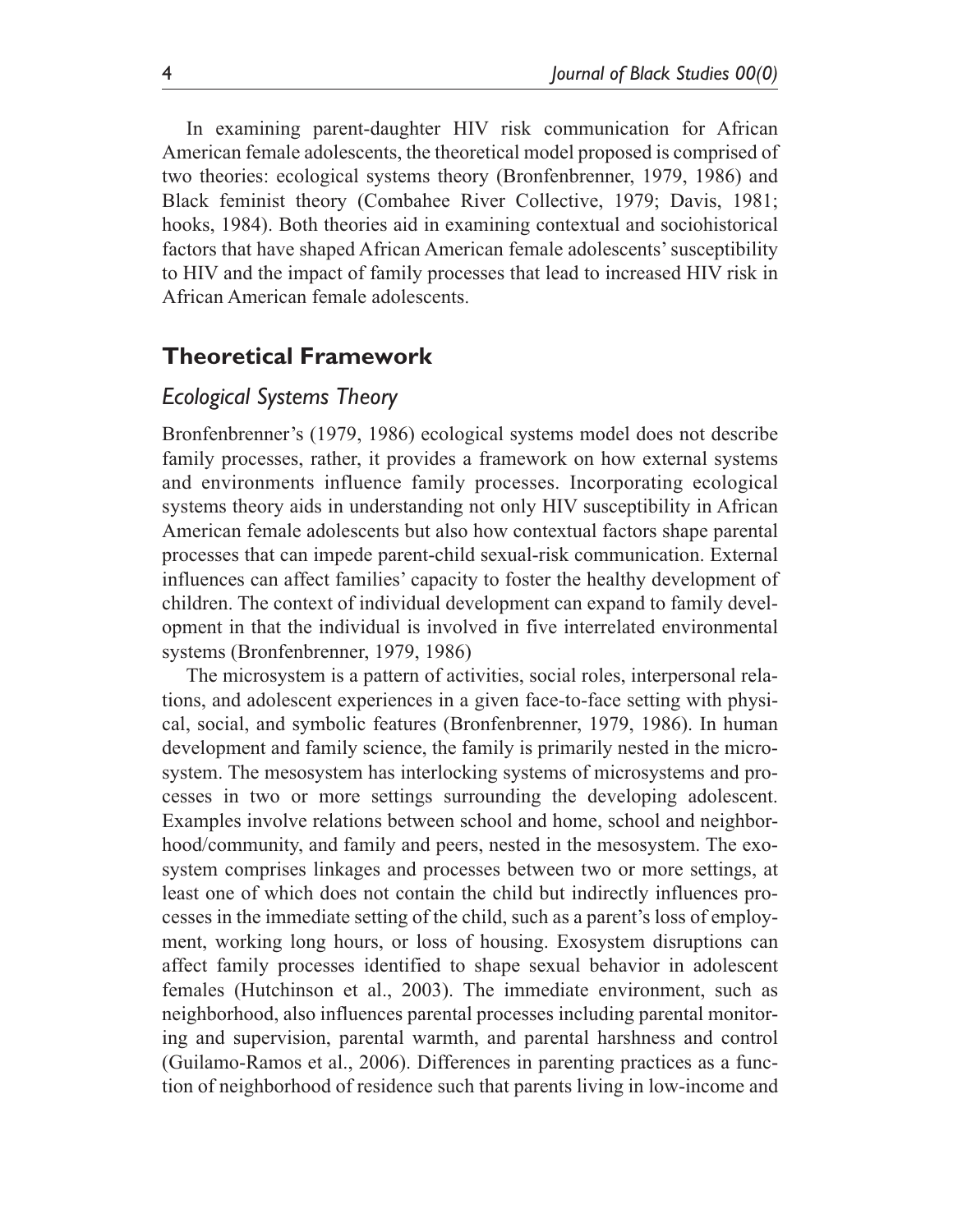In examining parent-daughter HIV risk communication for African American female adolescents, the theoretical model proposed is comprised of two theories: ecological systems theory (Bronfenbrenner, 1979, 1986) and Black feminist theory (Combahee River Collective, 1979; Davis, 1981; hooks, 1984). Both theories aid in examining contextual and sociohistorical factors that have shaped African American female adolescents' susceptibility to HIV and the impact of family processes that lead to increased HIV risk in African American female adolescents.

## **Theoretical Framework**

### *Ecological Systems Theory*

Bronfenbrenner's (1979, 1986) ecological systems model does not describe family processes, rather, it provides a framework on how external systems and environments influence family processes. Incorporating ecological systems theory aids in understanding not only HIV susceptibility in African American female adolescents but also how contextual factors shape parental processes that can impede parent-child sexual-risk communication. External influences can affect families' capacity to foster the healthy development of children. The context of individual development can expand to family development in that the individual is involved in five interrelated environmental systems (Bronfenbrenner, 1979, 1986)

The microsystem is a pattern of activities, social roles, interpersonal relations, and adolescent experiences in a given face-to-face setting with physical, social, and symbolic features (Bronfenbrenner, 1979, 1986). In human development and family science, the family is primarily nested in the microsystem. The mesosystem has interlocking systems of microsystems and processes in two or more settings surrounding the developing adolescent. Examples involve relations between school and home, school and neighborhood/community, and family and peers, nested in the mesosystem. The exosystem comprises linkages and processes between two or more settings, at least one of which does not contain the child but indirectly influences processes in the immediate setting of the child, such as a parent's loss of employment, working long hours, or loss of housing. Exosystem disruptions can affect family processes identified to shape sexual behavior in adolescent females (Hutchinson et al., 2003). The immediate environment, such as neighborhood, also influences parental processes including parental monitoring and supervision, parental warmth, and parental harshness and control (Guilamo-Ramos et al., 2006). Differences in parenting practices as a function of neighborhood of residence such that parents living in low-income and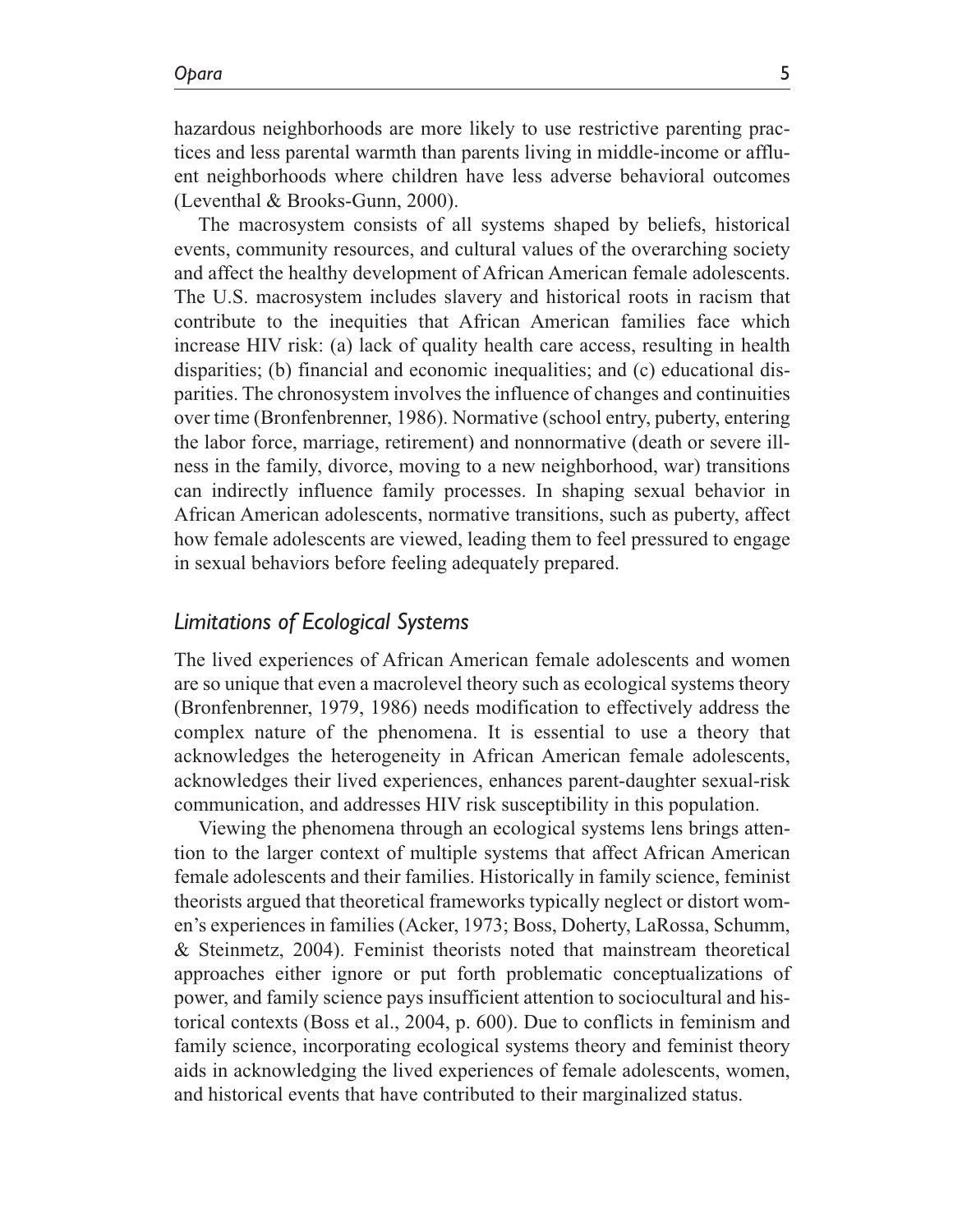hazardous neighborhoods are more likely to use restrictive parenting practices and less parental warmth than parents living in middle-income or affluent neighborhoods where children have less adverse behavioral outcomes (Leventhal & Brooks-Gunn, 2000).

The macrosystem consists of all systems shaped by beliefs, historical events, community resources, and cultural values of the overarching society and affect the healthy development of African American female adolescents. The U.S. macrosystem includes slavery and historical roots in racism that contribute to the inequities that African American families face which increase HIV risk: (a) lack of quality health care access, resulting in health disparities; (b) financial and economic inequalities; and (c) educational disparities. The chronosystem involves the influence of changes and continuities over time (Bronfenbrenner, 1986). Normative (school entry, puberty, entering the labor force, marriage, retirement) and nonnormative (death or severe illness in the family, divorce, moving to a new neighborhood, war) transitions can indirectly influence family processes. In shaping sexual behavior in African American adolescents, normative transitions, such as puberty, affect how female adolescents are viewed, leading them to feel pressured to engage in sexual behaviors before feeling adequately prepared.

### *Limitations of Ecological Systems*

The lived experiences of African American female adolescents and women are so unique that even a macrolevel theory such as ecological systems theory (Bronfenbrenner, 1979, 1986) needs modification to effectively address the complex nature of the phenomena. It is essential to use a theory that acknowledges the heterogeneity in African American female adolescents, acknowledges their lived experiences, enhances parent-daughter sexual-risk communication, and addresses HIV risk susceptibility in this population.

Viewing the phenomena through an ecological systems lens brings attention to the larger context of multiple systems that affect African American female adolescents and their families. Historically in family science, feminist theorists argued that theoretical frameworks typically neglect or distort women's experiences in families (Acker, 1973; Boss, Doherty, LaRossa, Schumm, & Steinmetz, 2004). Feminist theorists noted that mainstream theoretical approaches either ignore or put forth problematic conceptualizations of power, and family science pays insufficient attention to sociocultural and historical contexts (Boss et al., 2004, p. 600). Due to conflicts in feminism and family science, incorporating ecological systems theory and feminist theory aids in acknowledging the lived experiences of female adolescents, women, and historical events that have contributed to their marginalized status.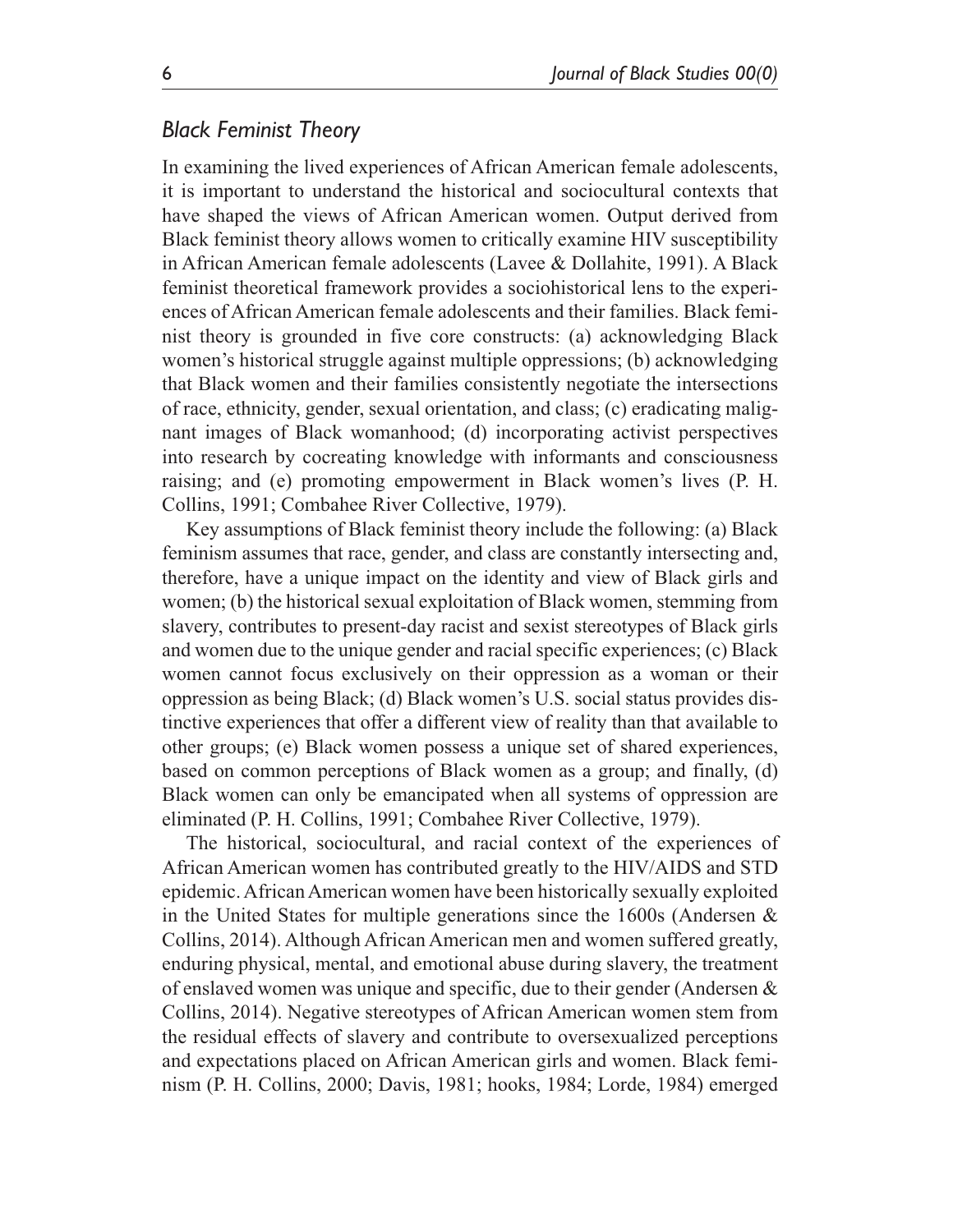## *Black Feminist Theory*

In examining the lived experiences of African American female adolescents, it is important to understand the historical and sociocultural contexts that have shaped the views of African American women. Output derived from Black feminist theory allows women to critically examine HIV susceptibility in African American female adolescents (Lavee & Dollahite, 1991). A Black feminist theoretical framework provides a sociohistorical lens to the experiences of African American female adolescents and their families. Black feminist theory is grounded in five core constructs: (a) acknowledging Black women's historical struggle against multiple oppressions; (b) acknowledging that Black women and their families consistently negotiate the intersections of race, ethnicity, gender, sexual orientation, and class; (c) eradicating malignant images of Black womanhood; (d) incorporating activist perspectives into research by cocreating knowledge with informants and consciousness raising; and (e) promoting empowerment in Black women's lives (P. H. Collins, 1991; Combahee River Collective, 1979).

Key assumptions of Black feminist theory include the following: (a) Black feminism assumes that race, gender, and class are constantly intersecting and, therefore, have a unique impact on the identity and view of Black girls and women; (b) the historical sexual exploitation of Black women, stemming from slavery, contributes to present-day racist and sexist stereotypes of Black girls and women due to the unique gender and racial specific experiences; (c) Black women cannot focus exclusively on their oppression as a woman or their oppression as being Black; (d) Black women's U.S. social status provides distinctive experiences that offer a different view of reality than that available to other groups; (e) Black women possess a unique set of shared experiences, based on common perceptions of Black women as a group; and finally, (d) Black women can only be emancipated when all systems of oppression are eliminated (P. H. Collins, 1991; Combahee River Collective, 1979).

The historical, sociocultural, and racial context of the experiences of African American women has contributed greatly to the HIV/AIDS and STD epidemic. African American women have been historically sexually exploited in the United States for multiple generations since the 1600s (Andersen & Collins, 2014). Although African American men and women suffered greatly, enduring physical, mental, and emotional abuse during slavery, the treatment of enslaved women was unique and specific, due to their gender (Andersen & Collins, 2014). Negative stereotypes of African American women stem from the residual effects of slavery and contribute to oversexualized perceptions and expectations placed on African American girls and women. Black feminism (P. H. Collins, 2000; Davis, 1981; hooks, 1984; Lorde, 1984) emerged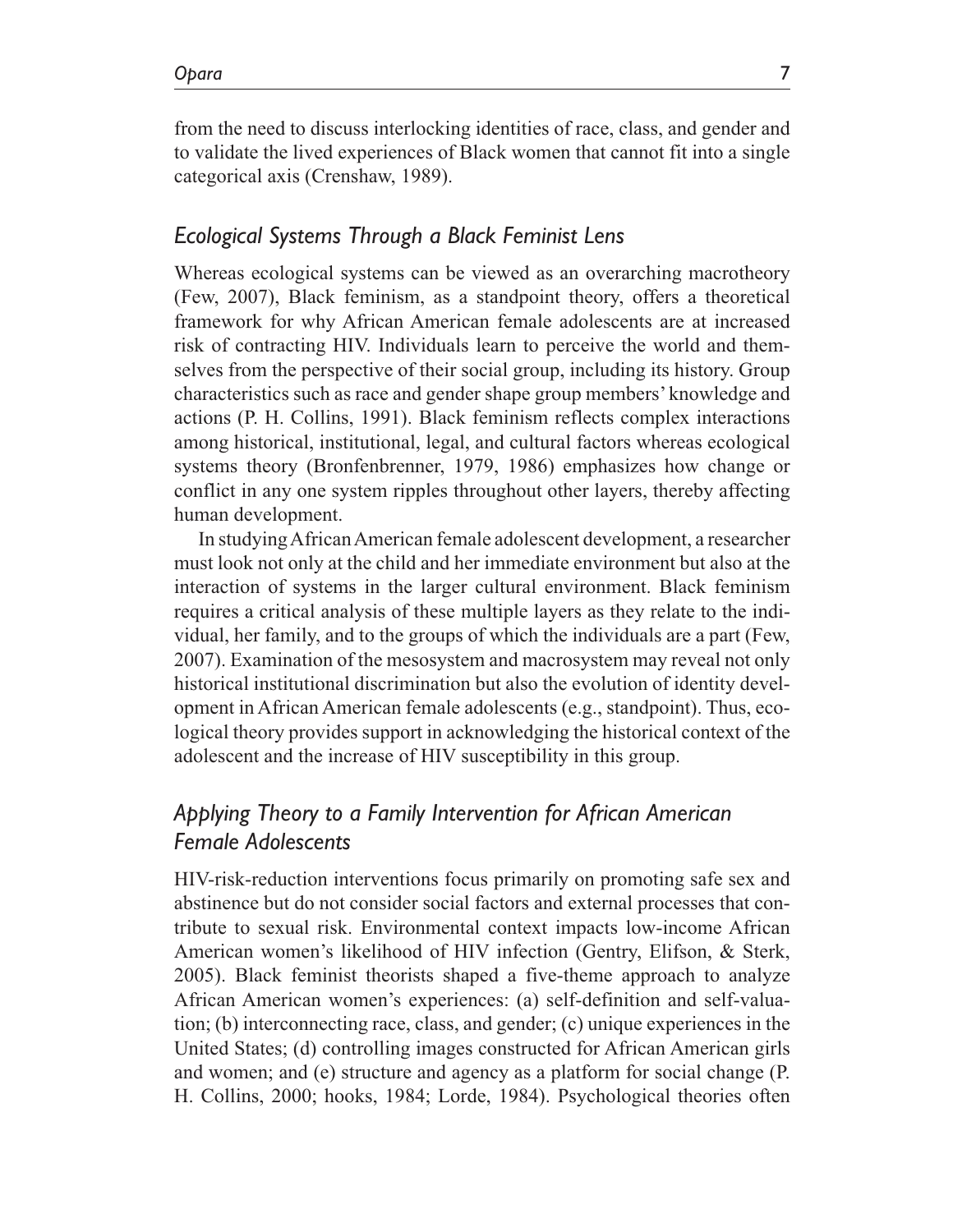from the need to discuss interlocking identities of race, class, and gender and to validate the lived experiences of Black women that cannot fit into a single categorical axis (Crenshaw, 1989).

### *Ecological Systems Through a Black Feminist Lens*

Whereas ecological systems can be viewed as an overarching macrotheory (Few, 2007), Black feminism, as a standpoint theory, offers a theoretical framework for why African American female adolescents are at increased risk of contracting HIV. Individuals learn to perceive the world and themselves from the perspective of their social group, including its history. Group characteristics such as race and gender shape group members' knowledge and actions (P. H. Collins, 1991). Black feminism reflects complex interactions among historical, institutional, legal, and cultural factors whereas ecological systems theory (Bronfenbrenner, 1979, 1986) emphasizes how change or conflict in any one system ripples throughout other layers, thereby affecting human development.

In studying African American female adolescent development, a researcher must look not only at the child and her immediate environment but also at the interaction of systems in the larger cultural environment. Black feminism requires a critical analysis of these multiple layers as they relate to the individual, her family, and to the groups of which the individuals are a part (Few, 2007). Examination of the mesosystem and macrosystem may reveal not only historical institutional discrimination but also the evolution of identity development in African American female adolescents (e.g., standpoint). Thus, ecological theory provides support in acknowledging the historical context of the adolescent and the increase of HIV susceptibility in this group.

# *Applying Theory to a Family Intervention for African American Female Adolescents*

HIV-risk-reduction interventions focus primarily on promoting safe sex and abstinence but do not consider social factors and external processes that contribute to sexual risk. Environmental context impacts low-income African American women's likelihood of HIV infection (Gentry, Elifson, & Sterk, 2005). Black feminist theorists shaped a five-theme approach to analyze African American women's experiences: (a) self-definition and self-valuation; (b) interconnecting race, class, and gender; (c) unique experiences in the United States; (d) controlling images constructed for African American girls and women; and (e) structure and agency as a platform for social change (P. H. Collins, 2000; hooks, 1984; Lorde, 1984). Psychological theories often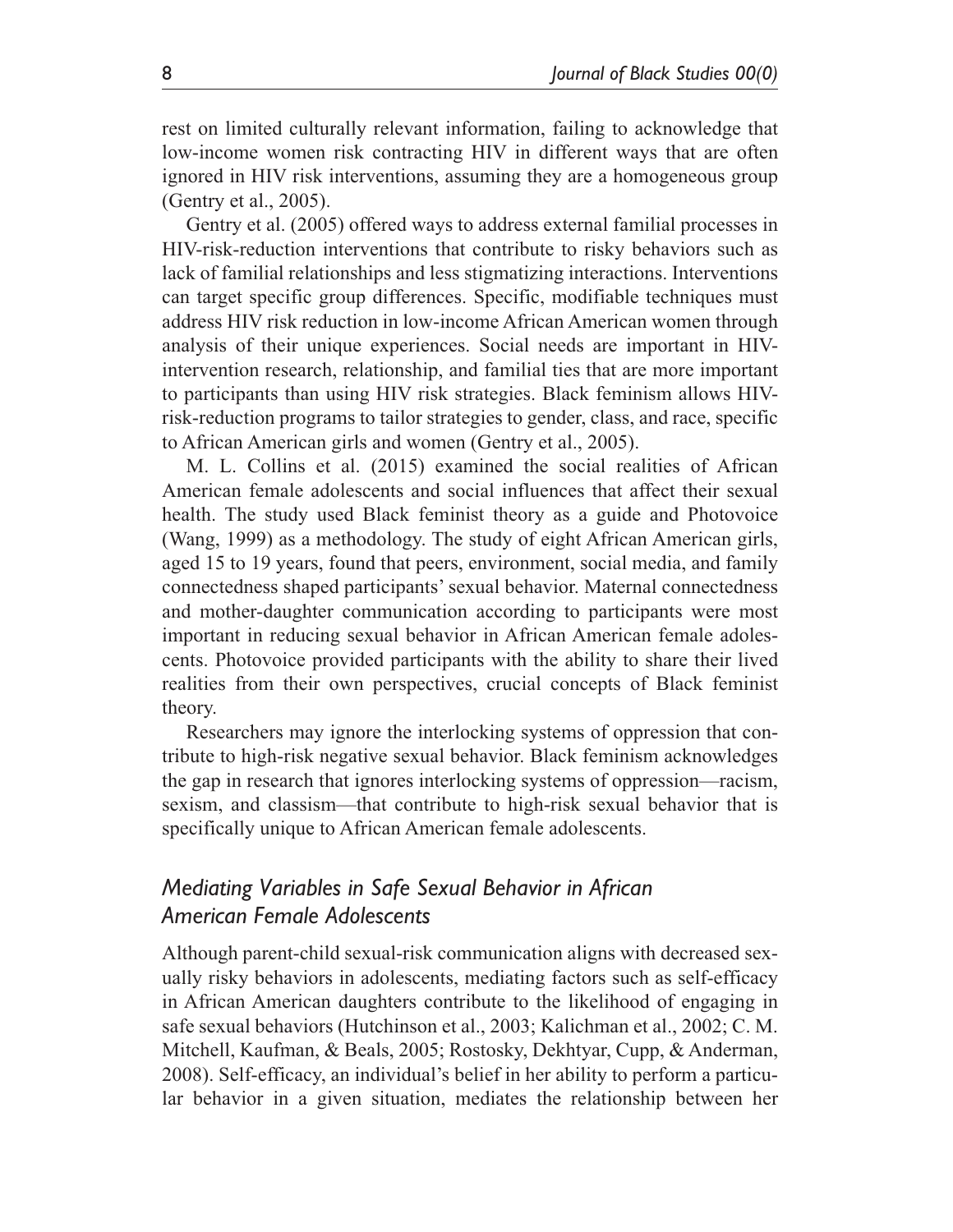rest on limited culturally relevant information, failing to acknowledge that low-income women risk contracting HIV in different ways that are often ignored in HIV risk interventions, assuming they are a homogeneous group (Gentry et al., 2005).

Gentry et al. (2005) offered ways to address external familial processes in HIV-risk-reduction interventions that contribute to risky behaviors such as lack of familial relationships and less stigmatizing interactions. Interventions can target specific group differences. Specific, modifiable techniques must address HIV risk reduction in low-income African American women through analysis of their unique experiences. Social needs are important in HIVintervention research, relationship, and familial ties that are more important to participants than using HIV risk strategies. Black feminism allows HIVrisk-reduction programs to tailor strategies to gender, class, and race, specific to African American girls and women (Gentry et al., 2005).

M. L. Collins et al. (2015) examined the social realities of African American female adolescents and social influences that affect their sexual health. The study used Black feminist theory as a guide and Photovoice (Wang, 1999) as a methodology. The study of eight African American girls, aged 15 to 19 years, found that peers, environment, social media, and family connectedness shaped participants' sexual behavior. Maternal connectedness and mother-daughter communication according to participants were most important in reducing sexual behavior in African American female adolescents. Photovoice provided participants with the ability to share their lived realities from their own perspectives, crucial concepts of Black feminist theory.

Researchers may ignore the interlocking systems of oppression that contribute to high-risk negative sexual behavior. Black feminism acknowledges the gap in research that ignores interlocking systems of oppression—racism, sexism, and classism—that contribute to high-risk sexual behavior that is specifically unique to African American female adolescents.

# *Mediating Variables in Safe Sexual Behavior in African American Female Adolescents*

Although parent-child sexual-risk communication aligns with decreased sexually risky behaviors in adolescents, mediating factors such as self-efficacy in African American daughters contribute to the likelihood of engaging in safe sexual behaviors (Hutchinson et al., 2003; Kalichman et al., 2002; C. M. Mitchell, Kaufman, & Beals, 2005; Rostosky, Dekhtyar, Cupp, & Anderman, 2008). Self-efficacy, an individual's belief in her ability to perform a particular behavior in a given situation, mediates the relationship between her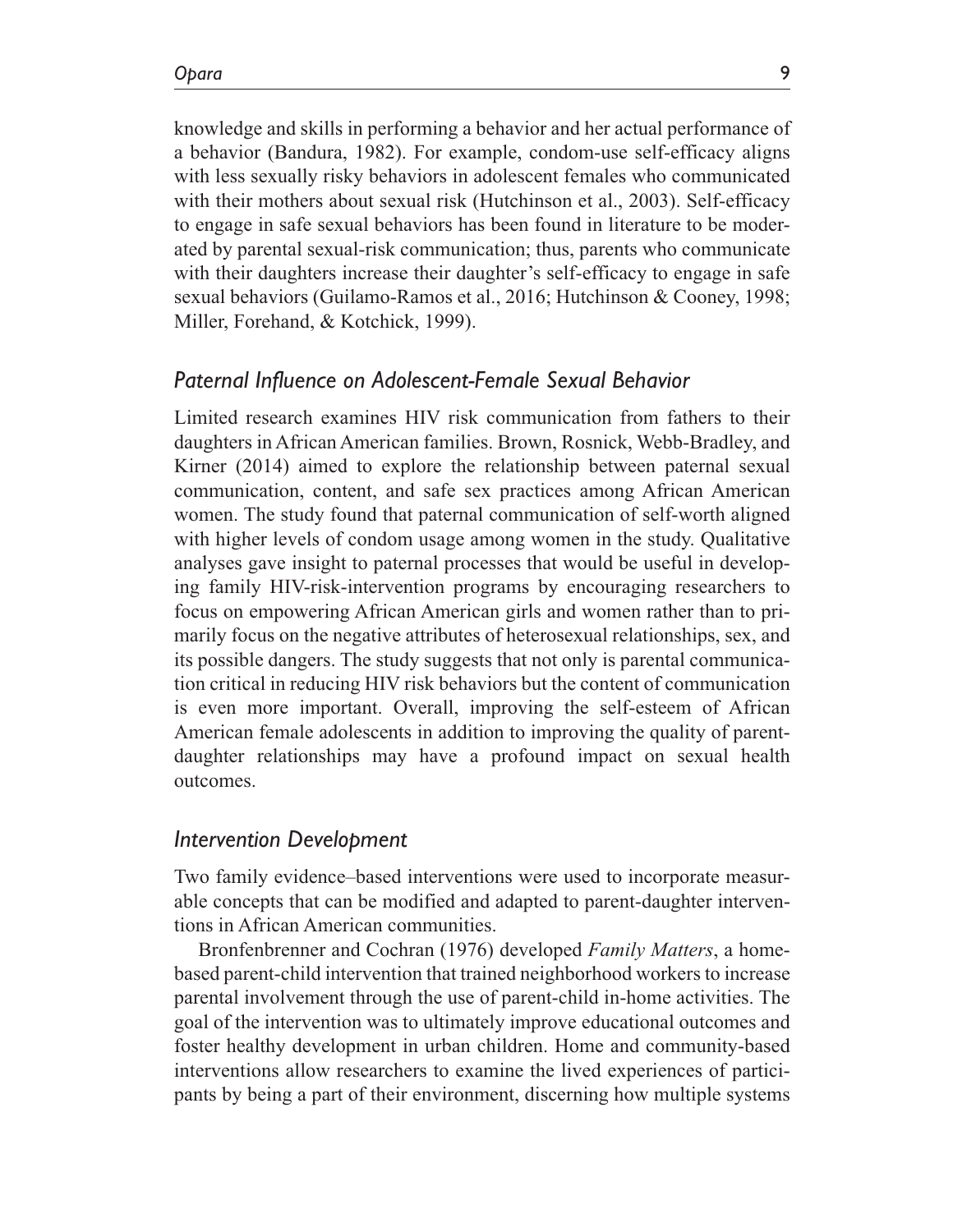knowledge and skills in performing a behavior and her actual performance of a behavior (Bandura, 1982). For example, condom-use self-efficacy aligns with less sexually risky behaviors in adolescent females who communicated with their mothers about sexual risk (Hutchinson et al., 2003). Self-efficacy to engage in safe sexual behaviors has been found in literature to be moderated by parental sexual-risk communication; thus, parents who communicate with their daughters increase their daughter's self-efficacy to engage in safe sexual behaviors (Guilamo-Ramos et al., 2016; Hutchinson & Cooney, 1998; Miller, Forehand, & Kotchick, 1999).

### *Paternal Influence on Adolescent-Female Sexual Behavior*

Limited research examines HIV risk communication from fathers to their daughters in African American families. Brown, Rosnick, Webb-Bradley, and Kirner (2014) aimed to explore the relationship between paternal sexual communication, content, and safe sex practices among African American women. The study found that paternal communication of self-worth aligned with higher levels of condom usage among women in the study. Qualitative analyses gave insight to paternal processes that would be useful in developing family HIV-risk-intervention programs by encouraging researchers to focus on empowering African American girls and women rather than to primarily focus on the negative attributes of heterosexual relationships, sex, and its possible dangers. The study suggests that not only is parental communication critical in reducing HIV risk behaviors but the content of communication is even more important. Overall, improving the self-esteem of African American female adolescents in addition to improving the quality of parentdaughter relationships may have a profound impact on sexual health outcomes.

### *Intervention Development*

Two family evidence–based interventions were used to incorporate measurable concepts that can be modified and adapted to parent-daughter interventions in African American communities.

Bronfenbrenner and Cochran (1976) developed *Family Matters*, a homebased parent-child intervention that trained neighborhood workers to increase parental involvement through the use of parent-child in-home activities. The goal of the intervention was to ultimately improve educational outcomes and foster healthy development in urban children. Home and community-based interventions allow researchers to examine the lived experiences of participants by being a part of their environment, discerning how multiple systems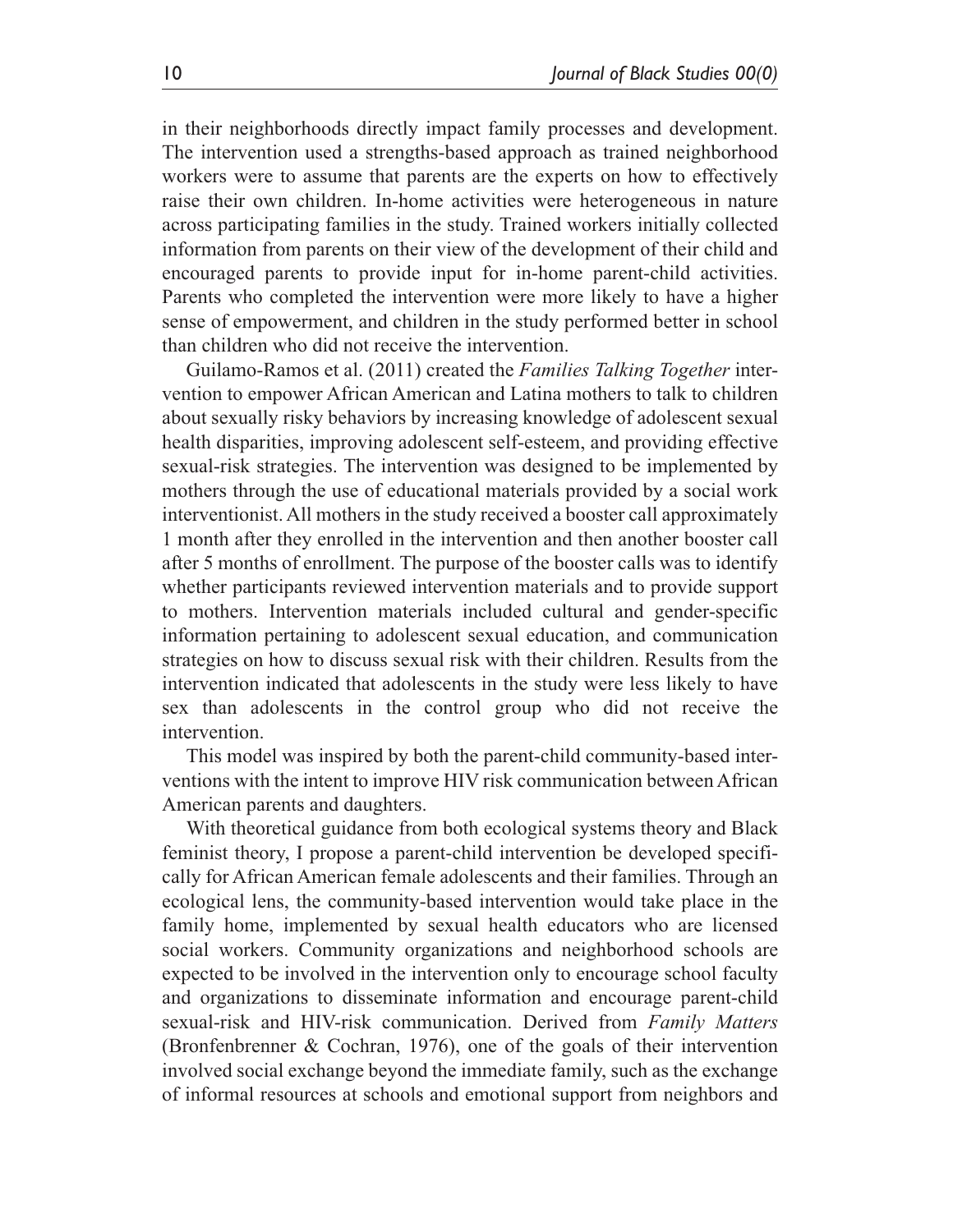in their neighborhoods directly impact family processes and development. The intervention used a strengths-based approach as trained neighborhood workers were to assume that parents are the experts on how to effectively raise their own children. In-home activities were heterogeneous in nature across participating families in the study. Trained workers initially collected information from parents on their view of the development of their child and encouraged parents to provide input for in-home parent-child activities. Parents who completed the intervention were more likely to have a higher sense of empowerment, and children in the study performed better in school than children who did not receive the intervention.

Guilamo-Ramos et al. (2011) created the *Families Talking Together* intervention to empower African American and Latina mothers to talk to children about sexually risky behaviors by increasing knowledge of adolescent sexual health disparities, improving adolescent self-esteem, and providing effective sexual-risk strategies. The intervention was designed to be implemented by mothers through the use of educational materials provided by a social work interventionist. All mothers in the study received a booster call approximately 1 month after they enrolled in the intervention and then another booster call after 5 months of enrollment. The purpose of the booster calls was to identify whether participants reviewed intervention materials and to provide support to mothers. Intervention materials included cultural and gender-specific information pertaining to adolescent sexual education, and communication strategies on how to discuss sexual risk with their children. Results from the intervention indicated that adolescents in the study were less likely to have sex than adolescents in the control group who did not receive the intervention.

This model was inspired by both the parent-child community-based interventions with the intent to improve HIV risk communication between African American parents and daughters.

With theoretical guidance from both ecological systems theory and Black feminist theory, I propose a parent-child intervention be developed specifically for African American female adolescents and their families. Through an ecological lens, the community-based intervention would take place in the family home, implemented by sexual health educators who are licensed social workers. Community organizations and neighborhood schools are expected to be involved in the intervention only to encourage school faculty and organizations to disseminate information and encourage parent-child sexual-risk and HIV-risk communication. Derived from *Family Matters* (Bronfenbrenner & Cochran, 1976), one of the goals of their intervention involved social exchange beyond the immediate family, such as the exchange of informal resources at schools and emotional support from neighbors and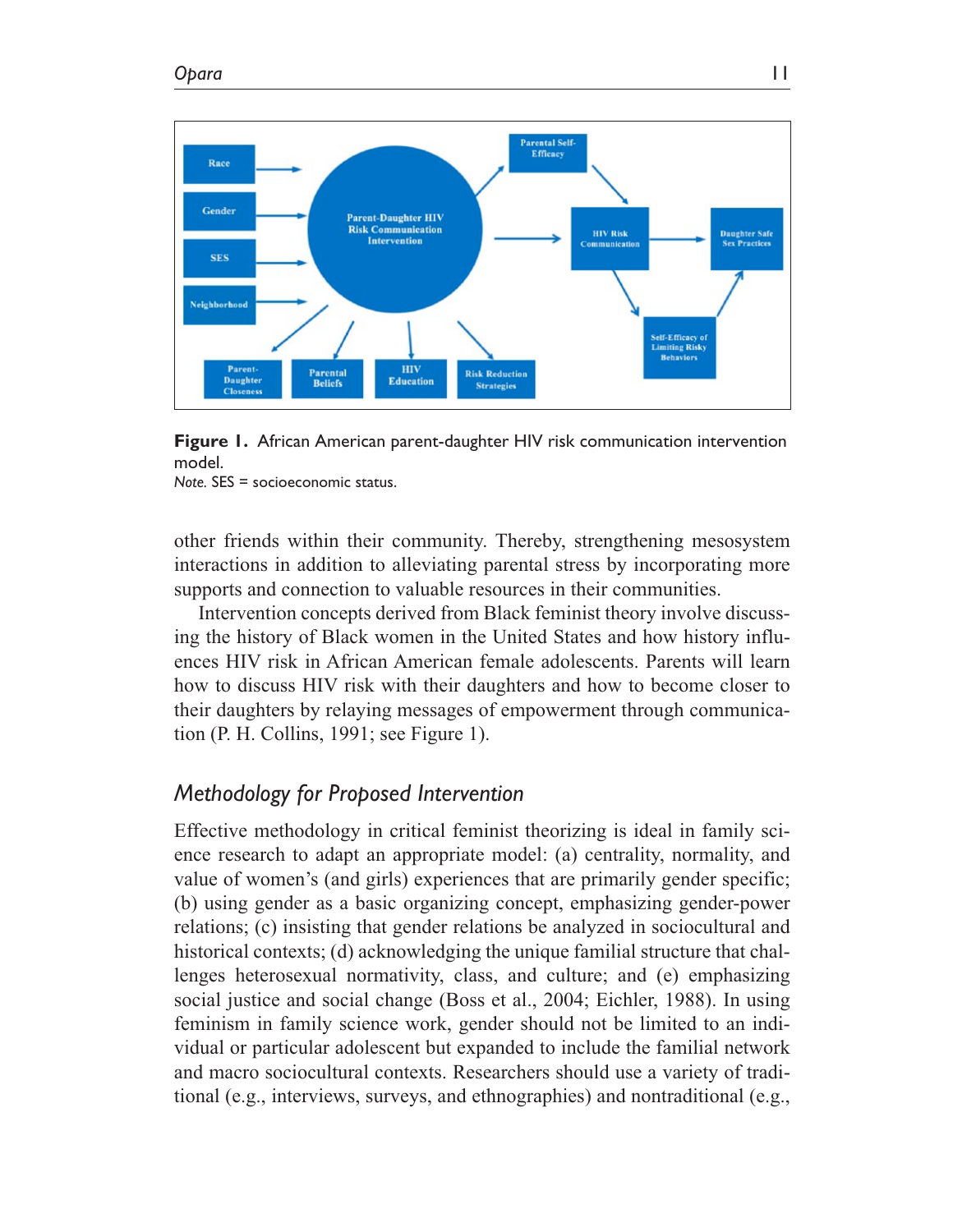



*Note.* SES = socioeconomic status.

other friends within their community. Thereby, strengthening mesosystem interactions in addition to alleviating parental stress by incorporating more supports and connection to valuable resources in their communities.

Intervention concepts derived from Black feminist theory involve discussing the history of Black women in the United States and how history influences HIV risk in African American female adolescents. Parents will learn how to discuss HIV risk with their daughters and how to become closer to their daughters by relaying messages of empowerment through communication (P. H. Collins, 1991; see Figure 1).

## *Methodology for Proposed Intervention*

Effective methodology in critical feminist theorizing is ideal in family science research to adapt an appropriate model: (a) centrality, normality, and value of women's (and girls) experiences that are primarily gender specific; (b) using gender as a basic organizing concept, emphasizing gender-power relations; (c) insisting that gender relations be analyzed in sociocultural and historical contexts; (d) acknowledging the unique familial structure that challenges heterosexual normativity, class, and culture; and (e) emphasizing social justice and social change (Boss et al., 2004; Eichler, 1988). In using feminism in family science work, gender should not be limited to an individual or particular adolescent but expanded to include the familial network and macro sociocultural contexts. Researchers should use a variety of traditional (e.g., interviews, surveys, and ethnographies) and nontraditional (e.g.,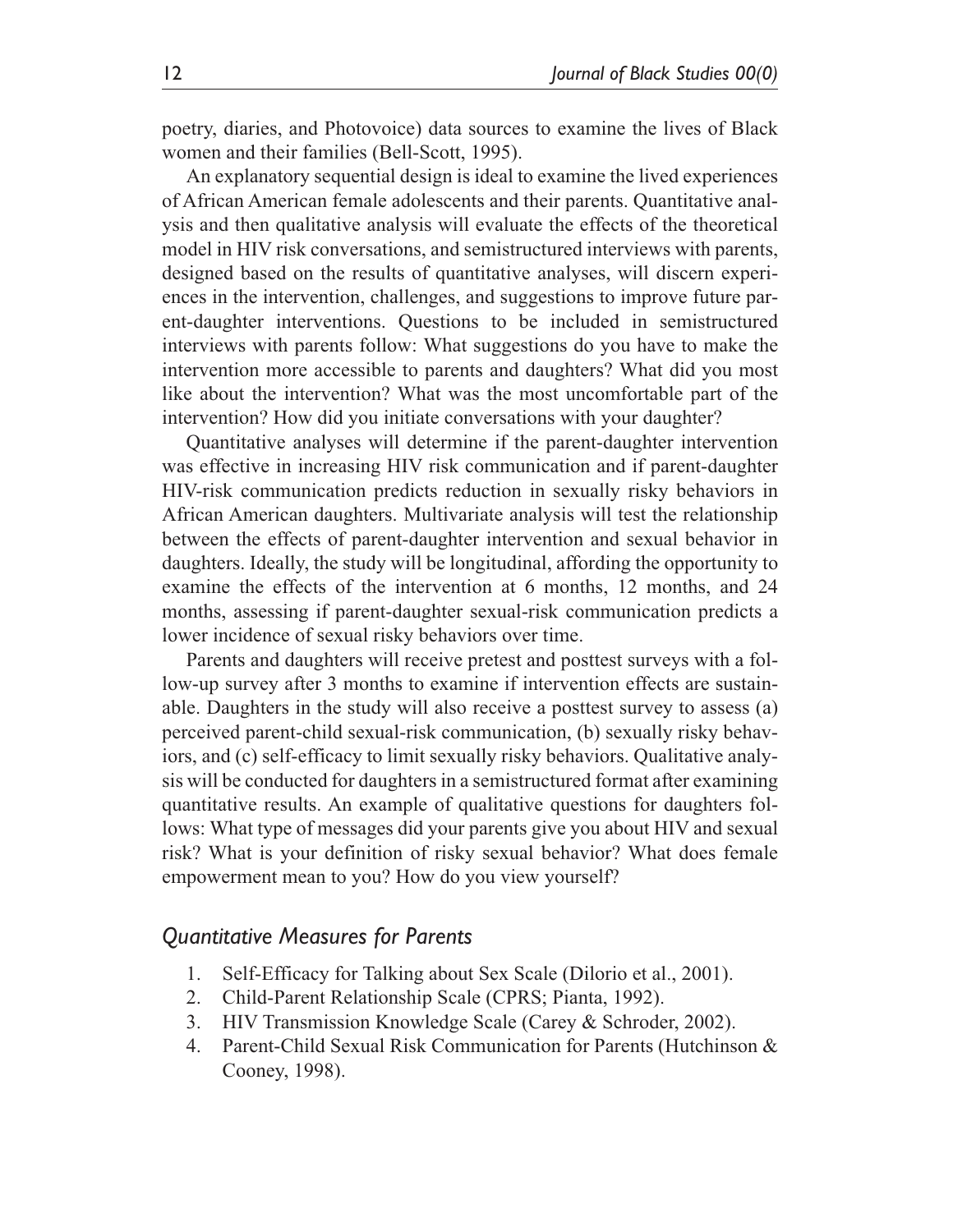poetry, diaries, and Photovoice) data sources to examine the lives of Black women and their families (Bell-Scott, 1995).

An explanatory sequential design is ideal to examine the lived experiences of African American female adolescents and their parents. Quantitative analysis and then qualitative analysis will evaluate the effects of the theoretical model in HIV risk conversations, and semistructured interviews with parents, designed based on the results of quantitative analyses, will discern experiences in the intervention, challenges, and suggestions to improve future parent-daughter interventions. Questions to be included in semistructured interviews with parents follow: What suggestions do you have to make the intervention more accessible to parents and daughters? What did you most like about the intervention? What was the most uncomfortable part of the intervention? How did you initiate conversations with your daughter?

Quantitative analyses will determine if the parent-daughter intervention was effective in increasing HIV risk communication and if parent-daughter HIV-risk communication predicts reduction in sexually risky behaviors in African American daughters. Multivariate analysis will test the relationship between the effects of parent-daughter intervention and sexual behavior in daughters. Ideally, the study will be longitudinal, affording the opportunity to examine the effects of the intervention at 6 months, 12 months, and 24 months, assessing if parent-daughter sexual-risk communication predicts a lower incidence of sexual risky behaviors over time.

Parents and daughters will receive pretest and posttest surveys with a follow-up survey after 3 months to examine if intervention effects are sustainable. Daughters in the study will also receive a posttest survey to assess (a) perceived parent-child sexual-risk communication, (b) sexually risky behaviors, and (c) self-efficacy to limit sexually risky behaviors. Qualitative analysis will be conducted for daughters in a semistructured format after examining quantitative results. An example of qualitative questions for daughters follows: What type of messages did your parents give you about HIV and sexual risk? What is your definition of risky sexual behavior? What does female empowerment mean to you? How do you view yourself?

### *Quantitative Measures for Parents*

- 1. Self-Efficacy for Talking about Sex Scale (Dilorio et al., 2001).
- 2. Child-Parent Relationship Scale (CPRS; Pianta, 1992).
- 3. HIV Transmission Knowledge Scale (Carey & Schroder, 2002).
- 4. Parent-Child Sexual Risk Communication for Parents (Hutchinson & Cooney, 1998).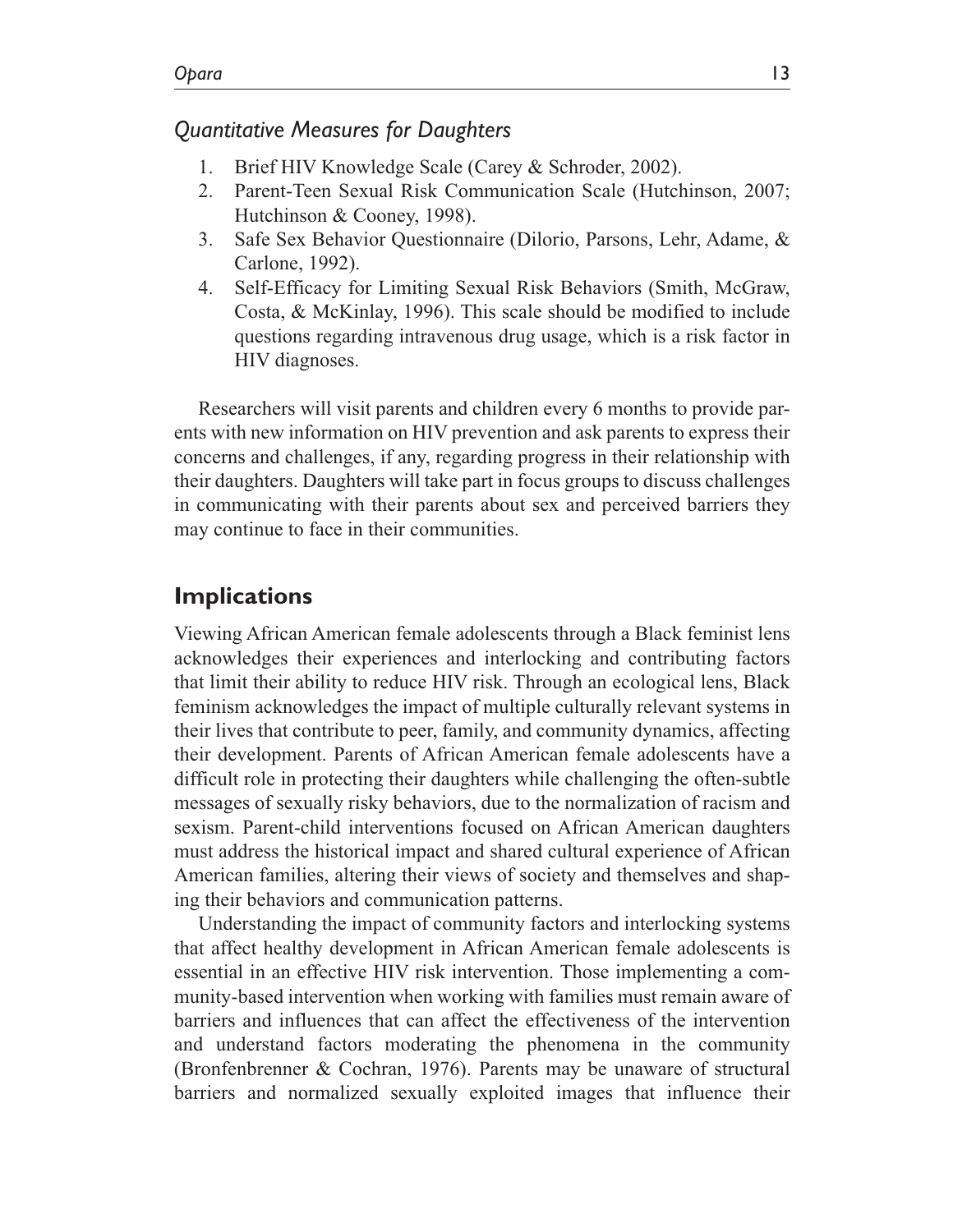## *Quantitative Measures for Daughters*

- 1. Brief HIV Knowledge Scale (Carey & Schroder, 2002).
- 2. Parent-Teen Sexual Risk Communication Scale (Hutchinson, 2007; Hutchinson & Cooney, 1998).
- 3. Safe Sex Behavior Questionnaire (Dilorio, Parsons, Lehr, Adame, & Carlone, 1992).
- 4. Self-Efficacy for Limiting Sexual Risk Behaviors (Smith, McGraw, Costa, & McKinlay, 1996). This scale should be modified to include questions regarding intravenous drug usage, which is a risk factor in HIV diagnoses.

Researchers will visit parents and children every 6 months to provide parents with new information on HIV prevention and ask parents to express their concerns and challenges, if any, regarding progress in their relationship with their daughters. Daughters will take part in focus groups to discuss challenges in communicating with their parents about sex and perceived barriers they may continue to face in their communities.

# **Implications**

Viewing African American female adolescents through a Black feminist lens acknowledges their experiences and interlocking and contributing factors that limit their ability to reduce HIV risk. Through an ecological lens, Black feminism acknowledges the impact of multiple culturally relevant systems in their lives that contribute to peer, family, and community dynamics, affecting their development. Parents of African American female adolescents have a difficult role in protecting their daughters while challenging the often-subtle messages of sexually risky behaviors, due to the normalization of racism and sexism. Parent-child interventions focused on African American daughters must address the historical impact and shared cultural experience of African American families, altering their views of society and themselves and shaping their behaviors and communication patterns.

Understanding the impact of community factors and interlocking systems that affect healthy development in African American female adolescents is essential in an effective HIV risk intervention. Those implementing a community-based intervention when working with families must remain aware of barriers and influences that can affect the effectiveness of the intervention and understand factors moderating the phenomena in the community (Bronfenbrenner & Cochran, 1976). Parents may be unaware of structural barriers and normalized sexually exploited images that influence their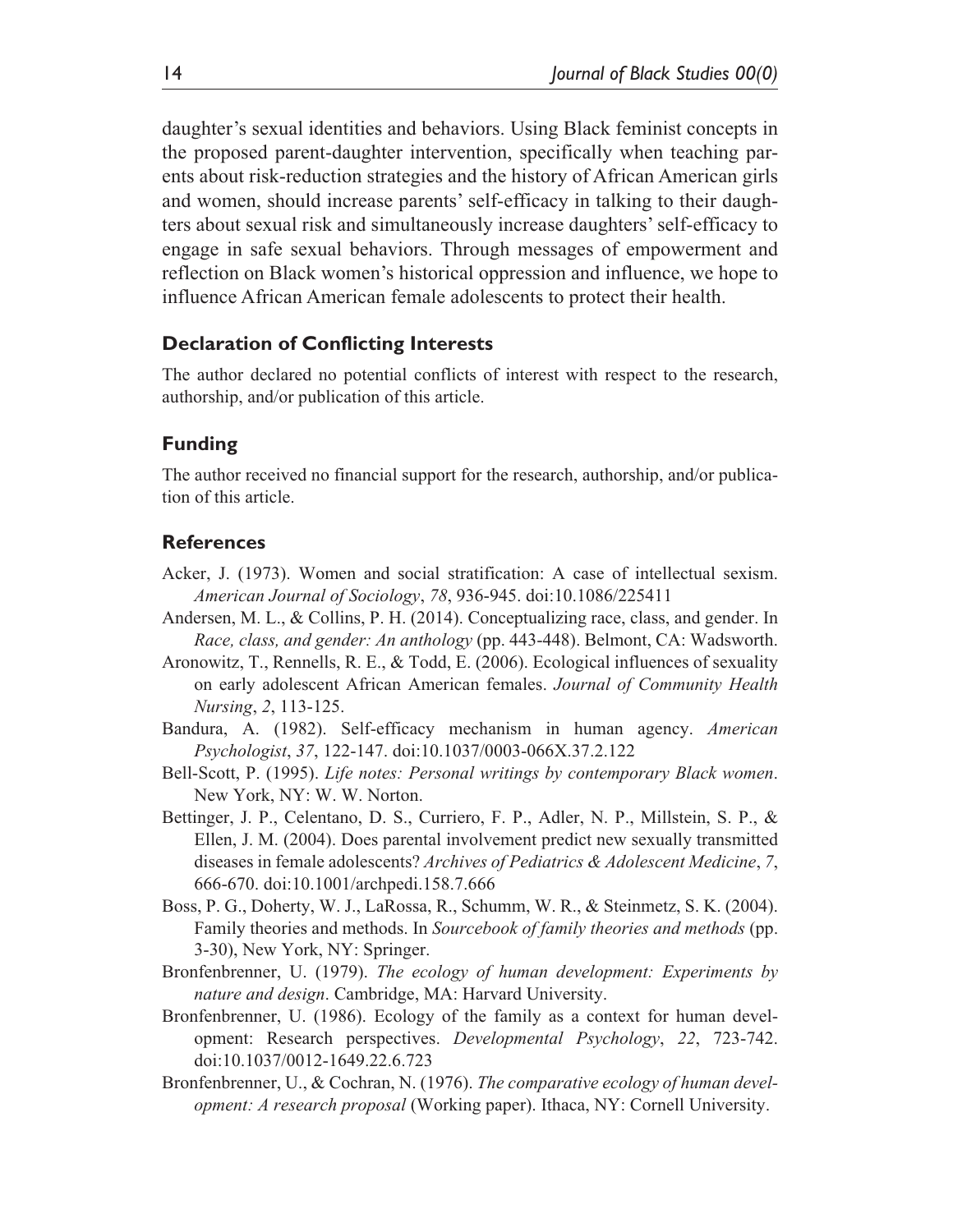daughter's sexual identities and behaviors. Using Black feminist concepts in the proposed parent-daughter intervention, specifically when teaching parents about risk-reduction strategies and the history of African American girls and women, should increase parents' self-efficacy in talking to their daughters about sexual risk and simultaneously increase daughters' self-efficacy to engage in safe sexual behaviors. Through messages of empowerment and reflection on Black women's historical oppression and influence, we hope to influence African American female adolescents to protect their health.

### **Declaration of Conflicting Interests**

The author declared no potential conflicts of interest with respect to the research, authorship, and/or publication of this article.

#### **Funding**

The author received no financial support for the research, authorship, and/or publication of this article.

#### **References**

- Acker, J. (1973). Women and social stratification: A case of intellectual sexism. *American Journal of Sociology*, *78*, 936-945. doi:10.1086/225411
- Andersen, M. L., & Collins, P. H. (2014). Conceptualizing race, class, and gender. In *Race, class, and gender: An anthology* (pp. 443-448). Belmont, CA: Wadsworth.
- Aronowitz, T., Rennells, R. E., & Todd, E. (2006). Ecological influences of sexuality on early adolescent African American females. *Journal of Community Health Nursing*, *2*, 113-125.
- Bandura, A. (1982). Self-efficacy mechanism in human agency. *American Psychologist*, *37*, 122-147. doi:10.1037/0003-066X.37.2.122
- Bell-Scott, P. (1995). *Life notes: Personal writings by contemporary Black women*. New York, NY: W. W. Norton.
- Bettinger, J. P., Celentano, D. S., Curriero, F. P., Adler, N. P., Millstein, S. P., & Ellen, J. M. (2004). Does parental involvement predict new sexually transmitted diseases in female adolescents? *Archives of Pediatrics & Adolescent Medicine*, *7*, 666-670. doi:10.1001/archpedi.158.7.666
- Boss, P. G., Doherty, W. J., LaRossa, R., Schumm, W. R., & Steinmetz, S. K. (2004). Family theories and methods. In *Sourcebook of family theories and methods* (pp. 3-30), New York, NY: Springer.
- Bronfenbrenner, U. (1979). *The ecology of human development: Experiments by nature and design*. Cambridge, MA: Harvard University.
- Bronfenbrenner, U. (1986). Ecology of the family as a context for human development: Research perspectives. *Developmental Psychology*, *22*, 723-742. doi:10.1037/0012-1649.22.6.723
- Bronfenbrenner, U., & Cochran, N. (1976). *The comparative ecology of human development: A research proposal* (Working paper). Ithaca, NY: Cornell University.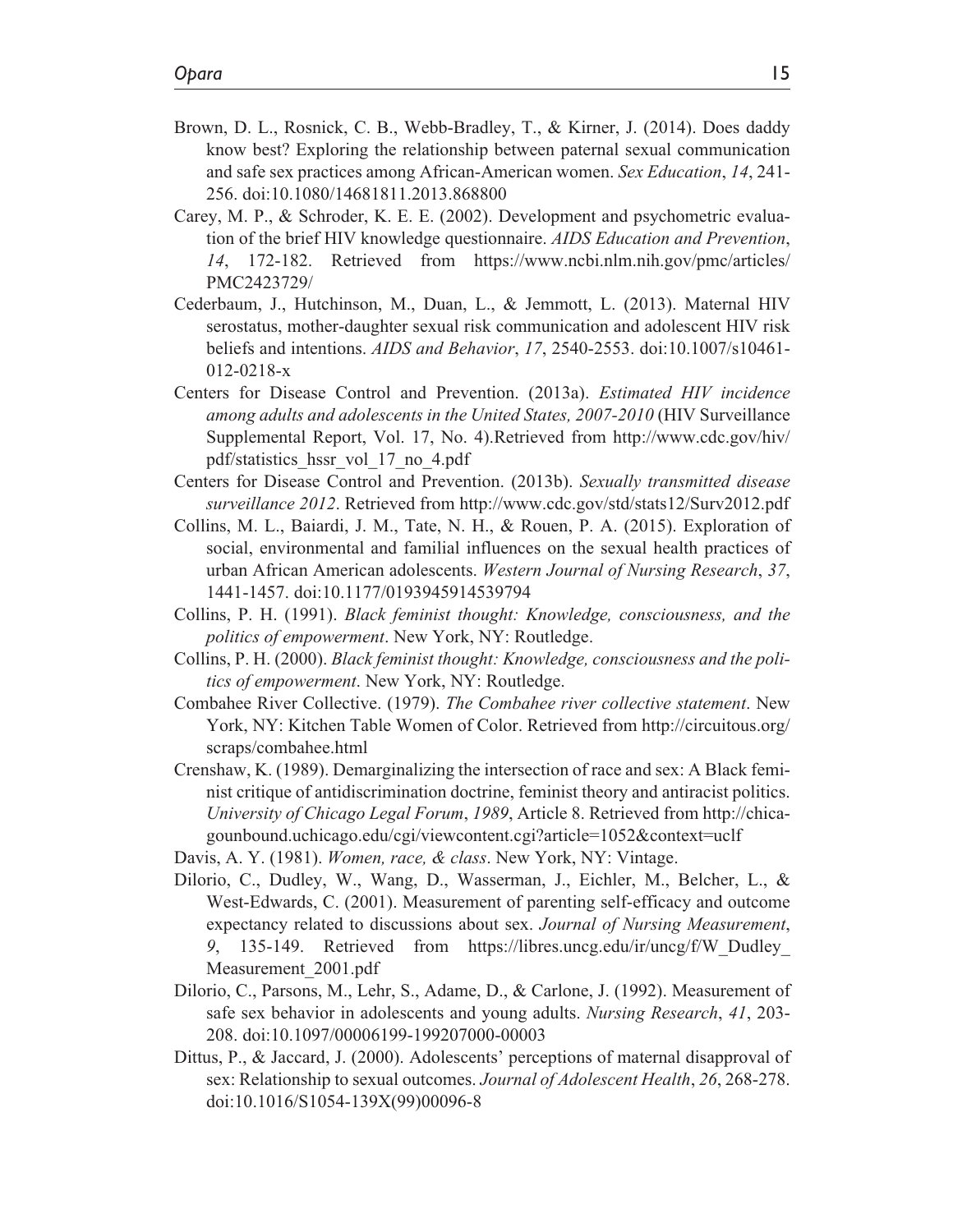- Brown, D. L., Rosnick, C. B., Webb-Bradley, T., & Kirner, J. (2014). Does daddy know best? Exploring the relationship between paternal sexual communication and safe sex practices among African-American women. *Sex Education*, *14*, 241- 256. doi:10.1080/14681811.2013.868800
- Carey, M. P., & Schroder, K. E. E. (2002). Development and psychometric evaluation of the brief HIV knowledge questionnaire. *AIDS Education and Prevention*, *14*, 172-182. Retrieved from https://www.ncbi.nlm.nih.gov/pmc/articles/ PMC2423729/
- Cederbaum, J., Hutchinson, M., Duan, L., & Jemmott, L. (2013). Maternal HIV serostatus, mother-daughter sexual risk communication and adolescent HIV risk beliefs and intentions. *AIDS and Behavior*, *17*, 2540-2553. doi:10.1007/s10461- 012-0218-x
- Centers for Disease Control and Prevention. (2013a). *Estimated HIV incidence among adults and adolescents in the United States, 2007-2010* (HIV Surveillance Supplemental Report, Vol. 17, No. 4).Retrieved from http://www.cdc.gov/hiv/ pdf/statistics\_hssr\_vol\_17\_no\_4.pdf
- Centers for Disease Control and Prevention. (2013b). *Sexually transmitted disease surveillance 2012*. Retrieved from http://www.cdc.gov/std/stats12/Surv2012.pdf
- Collins, M. L., Baiardi, J. M., Tate, N. H., & Rouen, P. A. (2015). Exploration of social, environmental and familial influences on the sexual health practices of urban African American adolescents. *Western Journal of Nursing Research*, *37*, 1441-1457. doi:10.1177/0193945914539794
- Collins, P. H. (1991). *Black feminist thought: Knowledge, consciousness, and the politics of empowerment*. New York, NY: Routledge.
- Collins, P. H. (2000). *Black feminist thought: Knowledge, consciousness and the politics of empowerment*. New York, NY: Routledge.
- Combahee River Collective. (1979). *The Combahee river collective statement*. New York, NY: Kitchen Table Women of Color. Retrieved from http://circuitous.org/ scraps/combahee.html
- Crenshaw, K. (1989). Demarginalizing the intersection of race and sex: A Black feminist critique of antidiscrimination doctrine, feminist theory and antiracist politics. *University of Chicago Legal Forum*, *1989*, Article 8. Retrieved from http://chicagounbound.uchicago.edu/cgi/viewcontent.cgi?article=1052&context=uclf
- Davis, A. Y. (1981). *Women, race, & class*. New York, NY: Vintage.
- Dilorio, C., Dudley, W., Wang, D., Wasserman, J., Eichler, M., Belcher, L., & West-Edwards, C. (2001). Measurement of parenting self-efficacy and outcome expectancy related to discussions about sex. *Journal of Nursing Measurement*, *9*, 135-149. Retrieved from https://libres.uncg.edu/ir/uncg/f/W\_Dudley\_ Measurement\_2001.pdf
- Dilorio, C., Parsons, M., Lehr, S., Adame, D., & Carlone, J. (1992). Measurement of safe sex behavior in adolescents and young adults. *Nursing Research*, *41*, 203- 208. doi:10.1097/00006199-199207000-00003
- Dittus, P., & Jaccard, J. (2000). Adolescents' perceptions of maternal disapproval of sex: Relationship to sexual outcomes. *Journal of Adolescent Health*, *26*, 268-278. doi:10.1016/S1054-139X(99)00096-8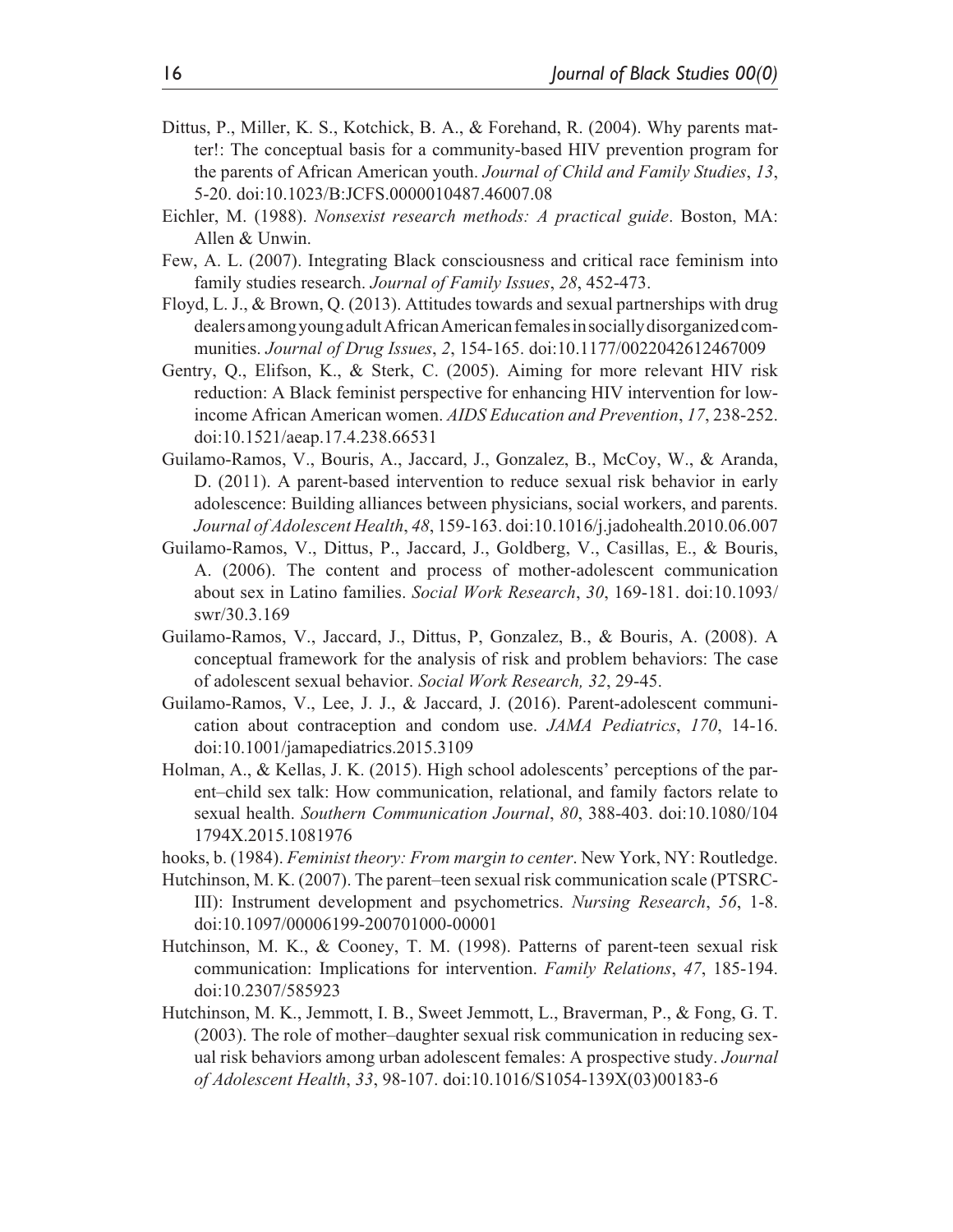- Dittus, P., Miller, K. S., Kotchick, B. A., & Forehand, R. (2004). Why parents matter!: The conceptual basis for a community-based HIV prevention program for the parents of African American youth. *Journal of Child and Family Studies*, *13*, 5-20. doi:10.1023/B:JCFS.0000010487.46007.08
- Eichler, M. (1988). *Nonsexist research methods: A practical guide*. Boston, MA: Allen & Unwin.
- Few, A. L. (2007). Integrating Black consciousness and critical race feminism into family studies research. *Journal of Family Issues*, *28*, 452-473.
- Floyd, L. J., & Brown, Q. (2013). Attitudes towards and sexual partnerships with drug dealers among young adult African American females in socially disorganized communities. *Journal of Drug Issues*, *2*, 154-165. doi:10.1177/0022042612467009
- Gentry, Q., Elifson, K., & Sterk, C. (2005). Aiming for more relevant HIV risk reduction: A Black feminist perspective for enhancing HIV intervention for lowincome African American women. *AIDS Education and Prevention*, *17*, 238-252. doi:10.1521/aeap.17.4.238.66531
- Guilamo-Ramos, V., Bouris, A., Jaccard, J., Gonzalez, B., McCoy, W., & Aranda, D. (2011). A parent-based intervention to reduce sexual risk behavior in early adolescence: Building alliances between physicians, social workers, and parents. *Journal of Adolescent Health*, *48*, 159-163. doi:10.1016/j.jadohealth.2010.06.007
- Guilamo-Ramos, V., Dittus, P., Jaccard, J., Goldberg, V., Casillas, E., & Bouris, A. (2006). The content and process of mother-adolescent communication about sex in Latino families. *Social Work Research*, *30*, 169-181. doi:10.1093/ swr/30.3.169
- Guilamo-Ramos, V., Jaccard, J., Dittus, P, Gonzalez, B., & Bouris, A. (2008). A conceptual framework for the analysis of risk and problem behaviors: The case of adolescent sexual behavior. *Social Work Research, 32*, 29-45.
- Guilamo-Ramos, V., Lee, J. J., & Jaccard, J. (2016). Parent-adolescent communication about contraception and condom use. *JAMA Pediatrics*, *170*, 14-16. doi:10.1001/jamapediatrics.2015.3109
- Holman, A., & Kellas, J. K. (2015). High school adolescents' perceptions of the parent–child sex talk: How communication, relational, and family factors relate to sexual health. *Southern Communication Journal*, *80*, 388-403. doi:10.1080/104 1794X.2015.1081976
- hooks, b. (1984). *Feminist theory: From margin to center*. New York, NY: Routledge.
- Hutchinson, M. K. (2007). The parent–teen sexual risk communication scale (PTSRC-III): Instrument development and psychometrics. *Nursing Research*, *56*, 1-8. doi:10.1097/00006199-200701000-00001
- Hutchinson, M. K., & Cooney, T. M. (1998). Patterns of parent-teen sexual risk communication: Implications for intervention. *Family Relations*, *47*, 185-194. doi:10.2307/585923
- Hutchinson, M. K., Jemmott, I. B., Sweet Jemmott, L., Braverman, P., & Fong, G. T. (2003). The role of mother–daughter sexual risk communication in reducing sexual risk behaviors among urban adolescent females: A prospective study. *Journal of Adolescent Health*, *33*, 98-107. doi:10.1016/S1054-139X(03)00183-6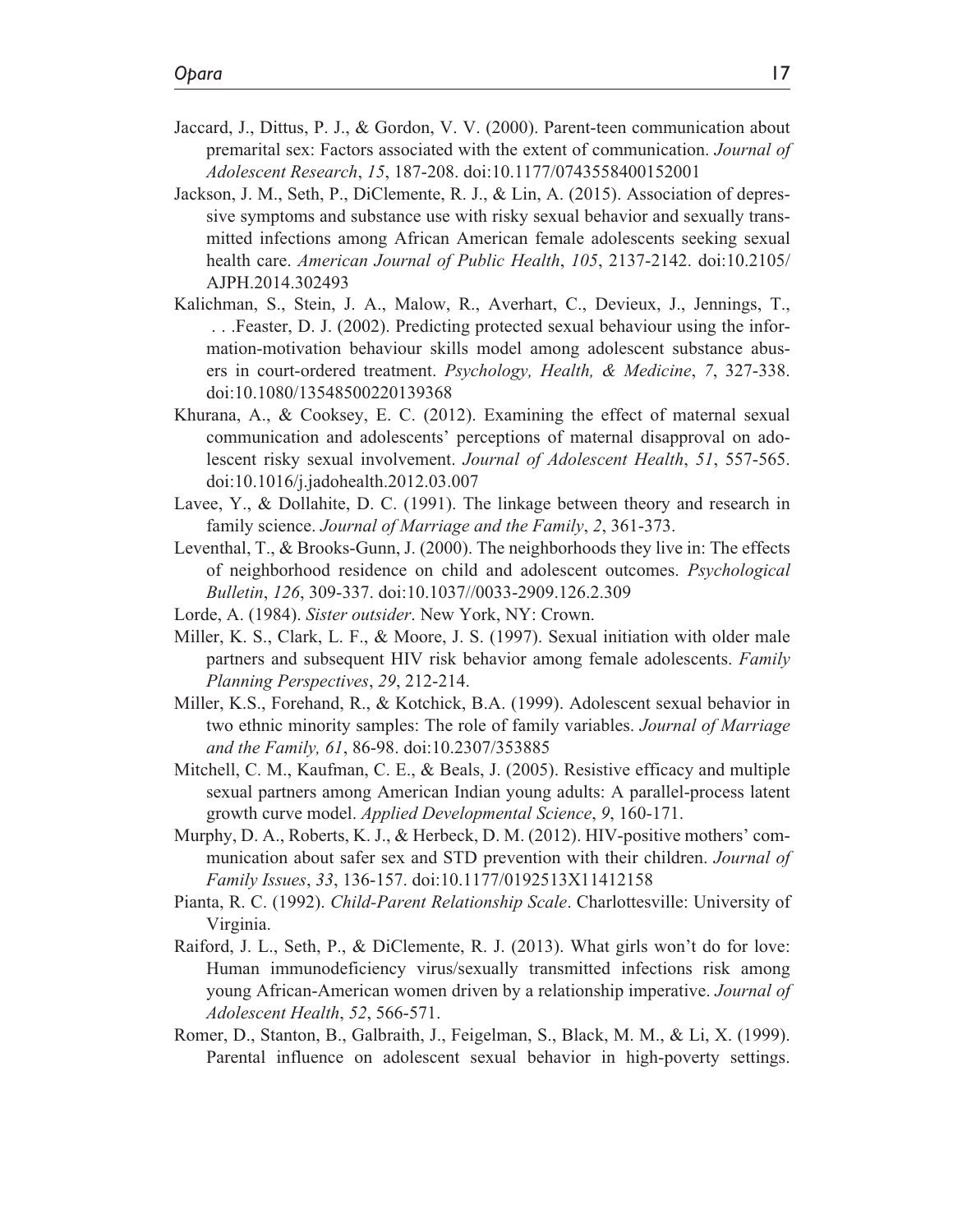- Jaccard, J., Dittus, P. J., & Gordon, V. V. (2000). Parent-teen communication about premarital sex: Factors associated with the extent of communication. *Journal of Adolescent Research*, *15*, 187-208. doi:10.1177/0743558400152001
- Jackson, J. M., Seth, P., DiClemente, R. J., & Lin, A. (2015). Association of depressive symptoms and substance use with risky sexual behavior and sexually transmitted infections among African American female adolescents seeking sexual health care. *American Journal of Public Health*, *105*, 2137-2142. doi:10.2105/ AJPH.2014.302493
- Kalichman, S., Stein, J. A., Malow, R., Averhart, C., Devieux, J., Jennings, T., . . .Feaster, D. J. (2002). Predicting protected sexual behaviour using the information-motivation behaviour skills model among adolescent substance abusers in court-ordered treatment. *Psychology, Health, & Medicine*, *7*, 327-338. doi:10.1080/13548500220139368
- Khurana, A., & Cooksey, E. C. (2012). Examining the effect of maternal sexual communication and adolescents' perceptions of maternal disapproval on adolescent risky sexual involvement. *Journal of Adolescent Health*, *51*, 557-565. doi:10.1016/j.jadohealth.2012.03.007
- Lavee, Y., & Dollahite, D. C. (1991). The linkage between theory and research in family science. *Journal of Marriage and the Family*, *2*, 361-373.
- Leventhal, T., & Brooks-Gunn, J. (2000). The neighborhoods they live in: The effects of neighborhood residence on child and adolescent outcomes. *Psychological Bulletin*, *126*, 309-337. doi:10.1037//0033-2909.126.2.309
- Lorde, A. (1984). *Sister outsider*. New York, NY: Crown.
- Miller, K. S., Clark, L. F., & Moore, J. S. (1997). Sexual initiation with older male partners and subsequent HIV risk behavior among female adolescents. *Family Planning Perspectives*, *29*, 212-214.
- Miller, K.S., Forehand, R., & Kotchick, B.A. (1999). Adolescent sexual behavior in two ethnic minority samples: The role of family variables. *Journal of Marriage and the Family, 61*, 86-98. doi:10.2307/353885
- Mitchell, C. M., Kaufman, C. E., & Beals, J. (2005). Resistive efficacy and multiple sexual partners among American Indian young adults: A parallel-process latent growth curve model. *Applied Developmental Science*, *9*, 160-171.
- Murphy, D. A., Roberts, K. J., & Herbeck, D. M. (2012). HIV-positive mothers' communication about safer sex and STD prevention with their children. *Journal of Family Issues*, *33*, 136-157. doi:10.1177/0192513X11412158
- Pianta, R. C. (1992). *Child-Parent Relationship Scale*. Charlottesville: University of Virginia.
- Raiford, J. L., Seth, P., & DiClemente, R. J. (2013). What girls won't do for love: Human immunodeficiency virus/sexually transmitted infections risk among young African-American women driven by a relationship imperative. *Journal of Adolescent Health*, *52*, 566-571.
- Romer, D., Stanton, B., Galbraith, J., Feigelman, S., Black, M. M., & Li, X. (1999). Parental influence on adolescent sexual behavior in high-poverty settings.